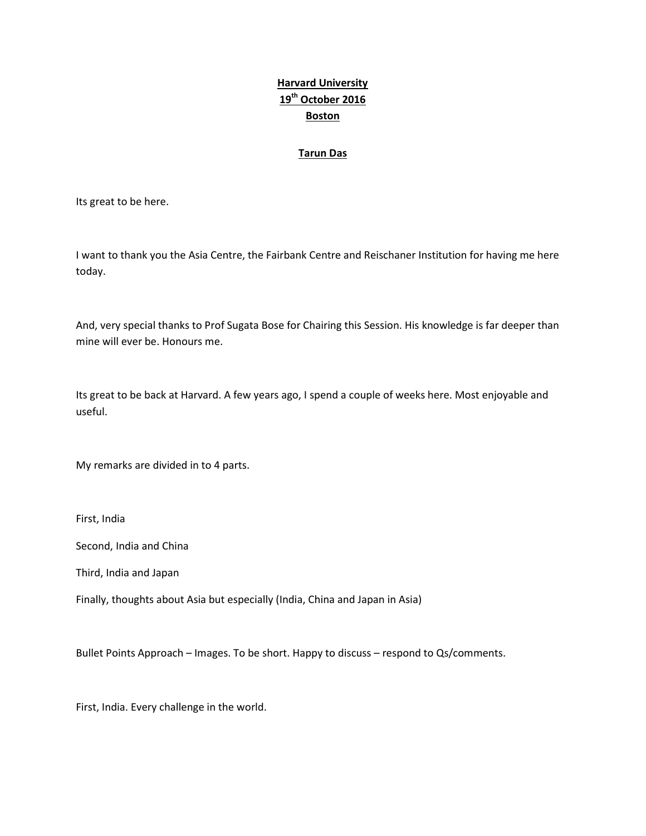## Harvard University 19<sup>th</sup> October 2016 **Boston**

## Tarun Das

Its great to be here.

I want to thank you the Asia Centre, the Fairbank Centre and Reischaner Institution for having me here today.

And, very special thanks to Prof Sugata Bose for Chairing this Session. His knowledge is far deeper than mine will ever be. Honours me.

Its great to be back at Harvard. A few years ago, I spend a couple of weeks here. Most enjoyable and useful.

My remarks are divided in to 4 parts.

First, India

Second, India and China

Third, India and Japan

Finally, thoughts about Asia but especially (India, China and Japan in Asia)

Bullet Points Approach – Images. To be short. Happy to discuss – respond to Qs/comments.

First, India. Every challenge in the world.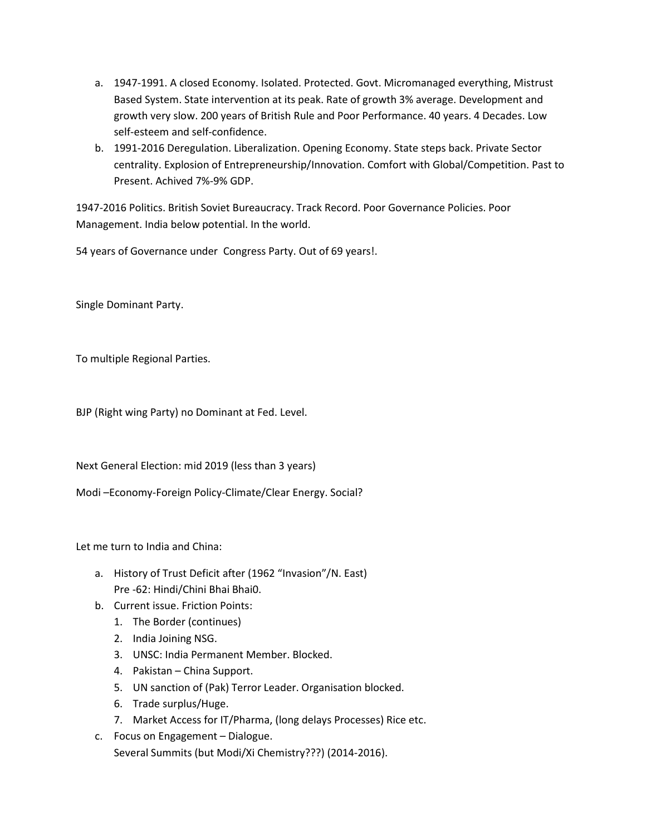- a. 1947-1991. A closed Economy. Isolated. Protected. Govt. Micromanaged everything, Mistrust Based System. State intervention at its peak. Rate of growth 3% average. Development and growth very slow. 200 years of British Rule and Poor Performance. 40 years. 4 Decades. Low self-esteem and self-confidence.
- b. 1991-2016 Deregulation. Liberalization. Opening Economy. State steps back. Private Sector centrality. Explosion of Entrepreneurship/Innovation. Comfort with Global/Competition. Past to Present. Achived 7%-9% GDP.

1947-2016 Politics. British Soviet Bureaucracy. Track Record. Poor Governance Policies. Poor Management. India below potential. In the world.

54 years of Governance under Congress Party. Out of 69 years!.

Single Dominant Party.

To multiple Regional Parties.

BJP (Right wing Party) no Dominant at Fed. Level.

Next General Election: mid 2019 (less than 3 years)

Modi –Economy-Foreign Policy-Climate/Clear Energy. Social?

Let me turn to India and China:

- a. History of Trust Deficit after (1962 "Invasion"/N. East) Pre -62: Hindi/Chini Bhai Bhai0.
- b. Current issue. Friction Points:
	- 1. The Border (continues)
	- 2. India Joining NSG.
	- 3. UNSC: India Permanent Member. Blocked.
	- 4. Pakistan China Support.
	- 5. UN sanction of (Pak) Terror Leader. Organisation blocked.
	- 6. Trade surplus/Huge.
	- 7. Market Access for IT/Pharma, (long delays Processes) Rice etc.
- c. Focus on Engagement Dialogue. Several Summits (but Modi/Xi Chemistry???) (2014-2016).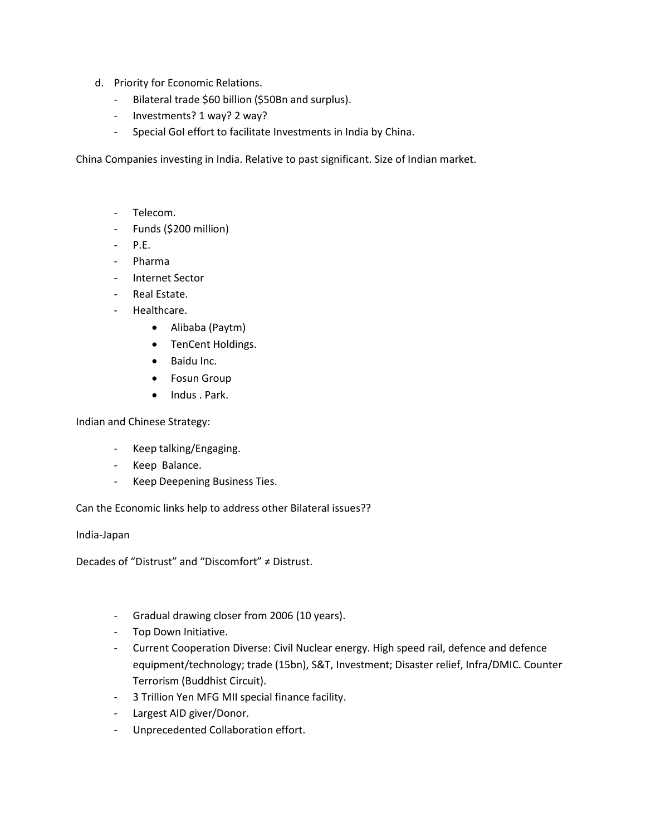- d. Priority for Economic Relations.
	- Bilateral trade \$60 billion (\$50Bn and surplus).
	- Investments? 1 way? 2 way?
	- Special GoI effort to facilitate Investments in India by China.

China Companies investing in India. Relative to past significant. Size of Indian market.

- Telecom.
- Funds (\$200 million)
- P.E.
- Pharma
- Internet Sector
- Real Estate.
- Healthcare.
	- Alibaba (Paytm)
	- TenCent Holdings.
	- Baidu Inc.
	- Fosun Group
	- Indus . Park.

Indian and Chinese Strategy:

- Keep talking/Engaging.
- Keep Balance.
- Keep Deepening Business Ties.

Can the Economic links help to address other Bilateral issues??

India-Japan

Decades of "Distrust" and "Discomfort" ≠ Distrust.

- Gradual drawing closer from 2006 (10 years).
- Top Down Initiative.
- Current Cooperation Diverse: Civil Nuclear energy. High speed rail, defence and defence equipment/technology; trade (15bn), S&T, Investment; Disaster relief, Infra/DMIC. Counter Terrorism (Buddhist Circuit).
- 3 Trillion Yen MFG MII special finance facility.
- Largest AID giver/Donor.
- Unprecedented Collaboration effort.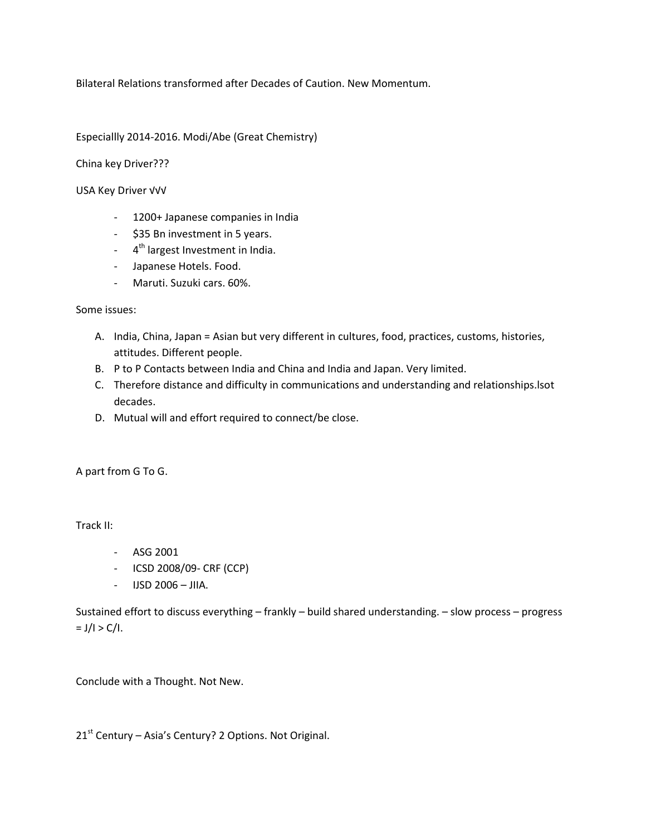Bilateral Relations transformed after Decades of Caution. New Momentum.

Especiallly 2014-2016. Modi/Abe (Great Chemistry)

China key Driver???

USA Key Driver √√√

- 1200+ Japanese companies in India
- \$35 Bn investment in 5 years.
- 4<sup>th</sup> largest Investment in India.
- Japanese Hotels. Food.
- Maruti. Suzuki cars. 60%.

Some issues:

- A. India, China, Japan = Asian but very different in cultures, food, practices, customs, histories, attitudes. Different people.
- B. P to P Contacts between India and China and India and Japan. Very limited.
- C. Therefore distance and difficulty in communications and understanding and relationships.lsot decades.
- D. Mutual will and effort required to connect/be close.

A part from G To G.

Track II:

- ASG 2001
- ICSD 2008/09- CRF (CCP)
- IJSD 2006 JIIA.

Sustained effort to discuss everything – frankly – build shared understanding. – slow process – progress  $= J/I > C/I.$ 

Conclude with a Thought. Not New.

21<sup>st</sup> Century - Asia's Century? 2 Options. Not Original.